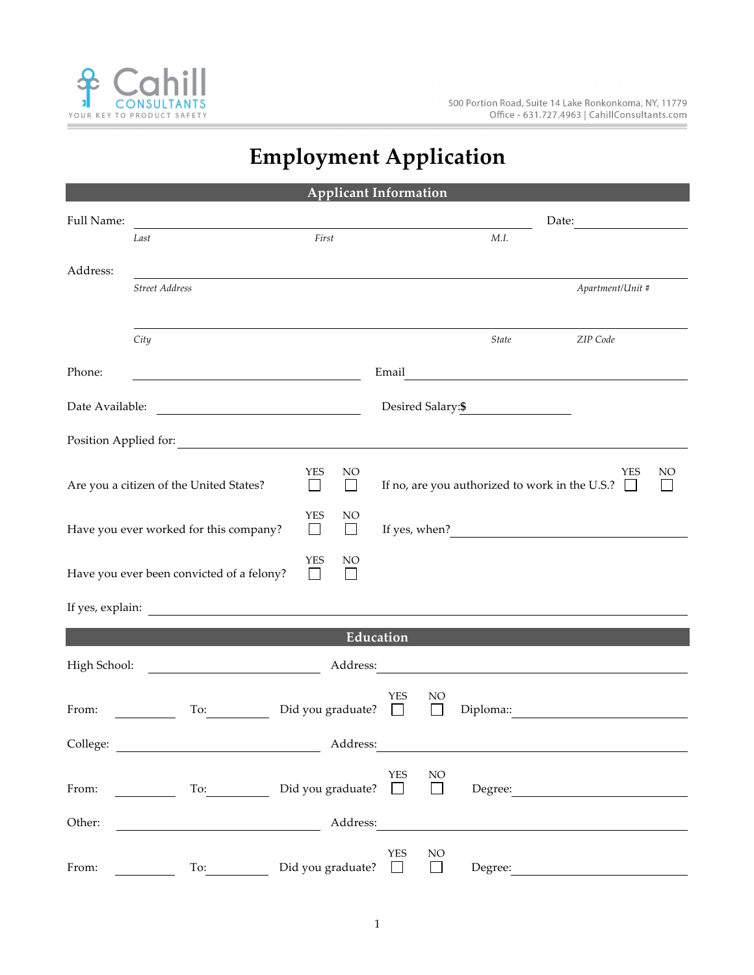

i.

## **Employment Application**

| <b>Applicant Information</b>                            |                                                                                                                                                                                                                                |                          |              |            |          |                   |                                                                     |    |
|---------------------------------------------------------|--------------------------------------------------------------------------------------------------------------------------------------------------------------------------------------------------------------------------------|--------------------------|--------------|------------|----------|-------------------|---------------------------------------------------------------------|----|
| Full Name:                                              |                                                                                                                                                                                                                                |                          |              |            |          |                   | Date:                                                               |    |
|                                                         | Last                                                                                                                                                                                                                           | First                    |              |            |          | M.I.              |                                                                     |    |
| Address:                                                |                                                                                                                                                                                                                                |                          |              |            |          |                   |                                                                     |    |
|                                                         | <b>Street Address</b>                                                                                                                                                                                                          |                          |              |            |          |                   | Apartment/Unit #                                                    |    |
|                                                         |                                                                                                                                                                                                                                |                          |              |            |          |                   |                                                                     |    |
|                                                         | City                                                                                                                                                                                                                           |                          |              |            |          | State             | ZIP Code                                                            |    |
|                                                         |                                                                                                                                                                                                                                |                          |              |            |          |                   |                                                                     |    |
| Phone:                                                  |                                                                                                                                                                                                                                |                          |              | Email      |          |                   | <u> 1989 - Andrea Station Barbara, amerikan personal (h. 1989).</u> |    |
|                                                         |                                                                                                                                                                                                                                |                          |              |            |          | Desired Salary:\$ |                                                                     |    |
|                                                         | Position Applied for:                                                                                                                                                                                                          |                          |              |            |          |                   |                                                                     |    |
|                                                         |                                                                                                                                                                                                                                | YES                      | NO           |            |          |                   | YES                                                                 | NO |
| Are you a citizen of the United States?<br>$\mathsf{L}$ |                                                                                                                                                                                                                                |                          |              |            |          |                   | If no, are you authorized to work in the U.S.? $\Box$               |    |
|                                                         |                                                                                                                                                                                                                                | <b>YES</b>               | NO           |            |          |                   |                                                                     |    |
|                                                         | Have you ever worked for this company?                                                                                                                                                                                         | $\vert \ \ \vert$        | $\mathbf{I}$ |            |          |                   |                                                                     |    |
|                                                         |                                                                                                                                                                                                                                | <b>YES</b>               | NO           |            |          |                   |                                                                     |    |
|                                                         | Have you ever been convicted of a felony?                                                                                                                                                                                      | $\Box$                   |              |            |          |                   |                                                                     |    |
|                                                         |                                                                                                                                                                                                                                |                          |              |            |          |                   |                                                                     |    |
| Education                                               |                                                                                                                                                                                                                                |                          |              |            |          |                   |                                                                     |    |
| High School:                                            |                                                                                                                                                                                                                                |                          | Address:     |            |          |                   | <u> 1989 - Andrea Stadt Britain, fransk politik (</u>               |    |
|                                                         |                                                                                                                                                                                                                                |                          |              | YES        | NO       |                   |                                                                     |    |
| From:                                                   | To:                                                                                                                                                                                                                            | Did you graduate?        |              | $\Box$     | $\Box$   | Diploma::         |                                                                     |    |
| College:                                                |                                                                                                                                                                                                                                |                          | Address:     |            |          |                   |                                                                     |    |
|                                                         |                                                                                                                                                                                                                                |                          |              | <b>YES</b> | NO       |                   |                                                                     |    |
| From:                                                   | To: $\qquad \qquad$                                                                                                                                                                                                            | Did you graduate? $\Box$ |              |            | $\Box$   |                   | Degree:                                                             |    |
| Other:                                                  |                                                                                                                                                                                                                                |                          | Address:     |            |          |                   |                                                                     |    |
|                                                         |                                                                                                                                                                                                                                |                          |              |            |          |                   |                                                                     |    |
| From:                                                   | To: The contract of the contract of the contract of the contract of the contract of the contract of the contract of the contract of the contract of the contract of the contract of the contract of the contract of the contra | Did you graduate?        |              | <b>YES</b> | $\rm NO$ | Degree:           |                                                                     |    |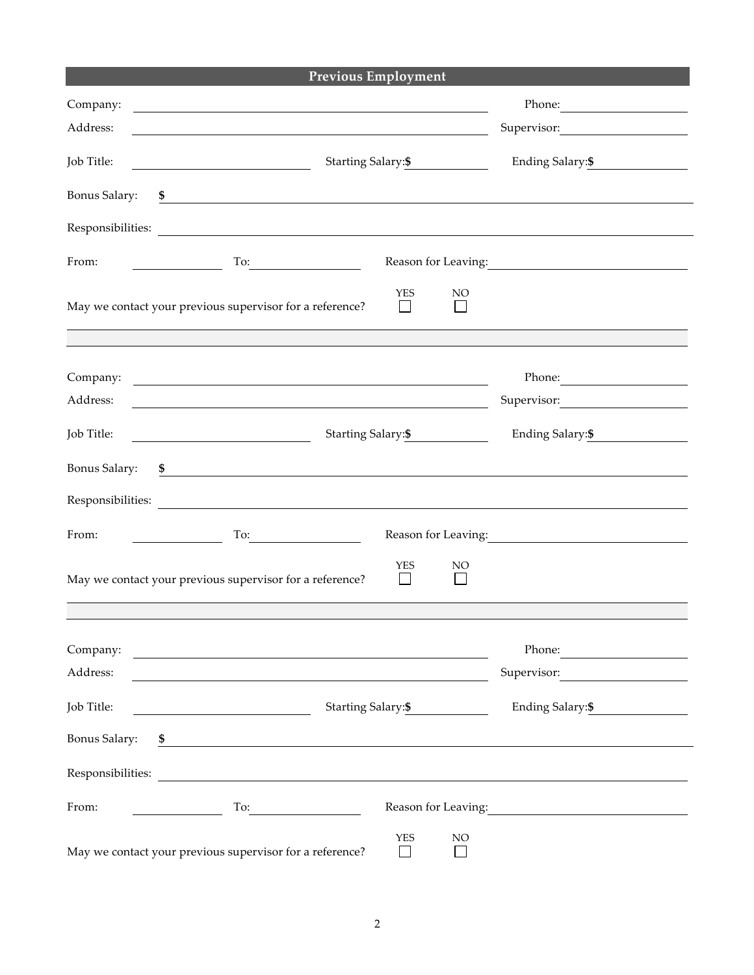|                      | <b>Previous Employment</b>                                                                                                 |                     |  |
|----------------------|----------------------------------------------------------------------------------------------------------------------------|---------------------|--|
| Company:             | and the control of the control of the control of the control of the control of the control of the control of the           | Phone:              |  |
| Address:             |                                                                                                                            | Supervisor:         |  |
| Job Title:           | Starting Salary:\$                                                                                                         | Ending Salary: \$   |  |
| Bonus Salary:        | \$<br><u> 1980 - Andrea State Barbara, amerikan personal di sebagai personal di sebagai personal di sebagai personal d</u> |                     |  |
|                      | Responsibilities:                                                                                                          |                     |  |
| From:                | $To: \begin{tabular}{ c c c c } \hline \quad \quad & \quad \quad & \quad \quad \\ \hline \end{tabular}.$                   | Reason for Leaving: |  |
|                      | <b>YES</b><br>NO <sub>1</sub><br>May we contact your previous supervisor for a reference?                                  |                     |  |
|                      |                                                                                                                            |                     |  |
| Company:             |                                                                                                                            | Phone: 2008         |  |
| Address:             | and the control of the control of the control of the control of the control of the control of the control of the           | Supervisor:         |  |
| Job Title:           | Starting Salary: \$<br><u> 1990 - John Stein, Amerikaansk politiker (</u>                                                  | Ending Salary: \$   |  |
| <b>Bonus Salary:</b> | \$                                                                                                                         |                     |  |
| Responsibilities:    | <u> 1989 - Johann Harry Harry Harry Harry Harry Harry Harry Harry Harry Harry Harry Harry Harry Harry Harry Harry</u>      |                     |  |
| From:                | To:                                                                                                                        | Reason for Leaving: |  |
|                      | <b>YES</b><br>NO<br>May we contact your previous supervisor for a reference?                                               |                     |  |
|                      |                                                                                                                            |                     |  |
| Company:             | <u> 1989 - Jan Barbara Barat, martin da basar da basar da basar da basar da basar da basar da basar da basar da b</u>      | Phone:              |  |
| Address:             | <u> 1980 - Jan Samuel Barbara, margaret eta idazlea (h. 1980).</u>                                                         | Supervisor:         |  |
| Job Title:           | Starting Salary: \$                                                                                                        | Ending Salary: \$   |  |
| <b>Bonus Salary:</b> |                                                                                                                            |                     |  |
|                      |                                                                                                                            |                     |  |
| From:                | To:                                                                                                                        | Reason for Leaving: |  |
|                      | <b>YES</b><br>NO<br>May we contact your previous supervisor for a reference?<br>$\Box$                                     |                     |  |